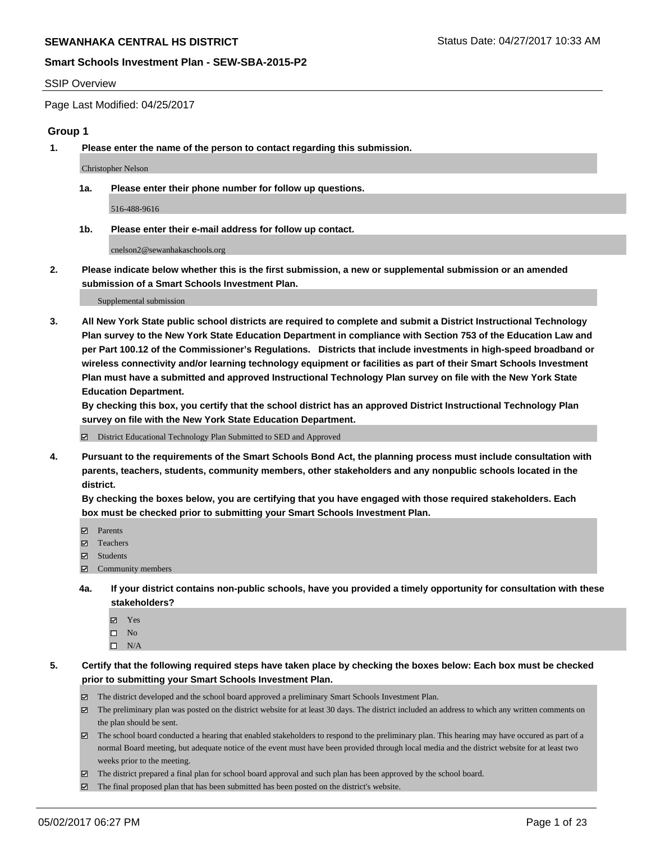#### SSIP Overview

Page Last Modified: 04/25/2017

### **Group 1**

**1. Please enter the name of the person to contact regarding this submission.**

Christopher Nelson

**1a. Please enter their phone number for follow up questions.**

516-488-9616

**1b. Please enter their e-mail address for follow up contact.**

cnelson2@sewanhakaschools.org

**2. Please indicate below whether this is the first submission, a new or supplemental submission or an amended submission of a Smart Schools Investment Plan.**

Supplemental submission

**3. All New York State public school districts are required to complete and submit a District Instructional Technology Plan survey to the New York State Education Department in compliance with Section 753 of the Education Law and per Part 100.12 of the Commissioner's Regulations. Districts that include investments in high-speed broadband or wireless connectivity and/or learning technology equipment or facilities as part of their Smart Schools Investment Plan must have a submitted and approved Instructional Technology Plan survey on file with the New York State Education Department.** 

**By checking this box, you certify that the school district has an approved District Instructional Technology Plan survey on file with the New York State Education Department.**

District Educational Technology Plan Submitted to SED and Approved

**4. Pursuant to the requirements of the Smart Schools Bond Act, the planning process must include consultation with parents, teachers, students, community members, other stakeholders and any nonpublic schools located in the district.** 

**By checking the boxes below, you are certifying that you have engaged with those required stakeholders. Each box must be checked prior to submitting your Smart Schools Investment Plan.**

- **マ** Parents
- □ Teachers
- Students
- $\Xi$  Community members
- **4a. If your district contains non-public schools, have you provided a timely opportunity for consultation with these stakeholders?**
	- Yes
	- $\hfill \square$  No
	- $\square$  N/A
- **5. Certify that the following required steps have taken place by checking the boxes below: Each box must be checked prior to submitting your Smart Schools Investment Plan.**
	- The district developed and the school board approved a preliminary Smart Schools Investment Plan.
	- $\boxtimes$  The preliminary plan was posted on the district website for at least 30 days. The district included an address to which any written comments on the plan should be sent.
	- $\boxtimes$  The school board conducted a hearing that enabled stakeholders to respond to the preliminary plan. This hearing may have occured as part of a normal Board meeting, but adequate notice of the event must have been provided through local media and the district website for at least two weeks prior to the meeting.
	- The district prepared a final plan for school board approval and such plan has been approved by the school board.
	- $\boxtimes$  The final proposed plan that has been submitted has been posted on the district's website.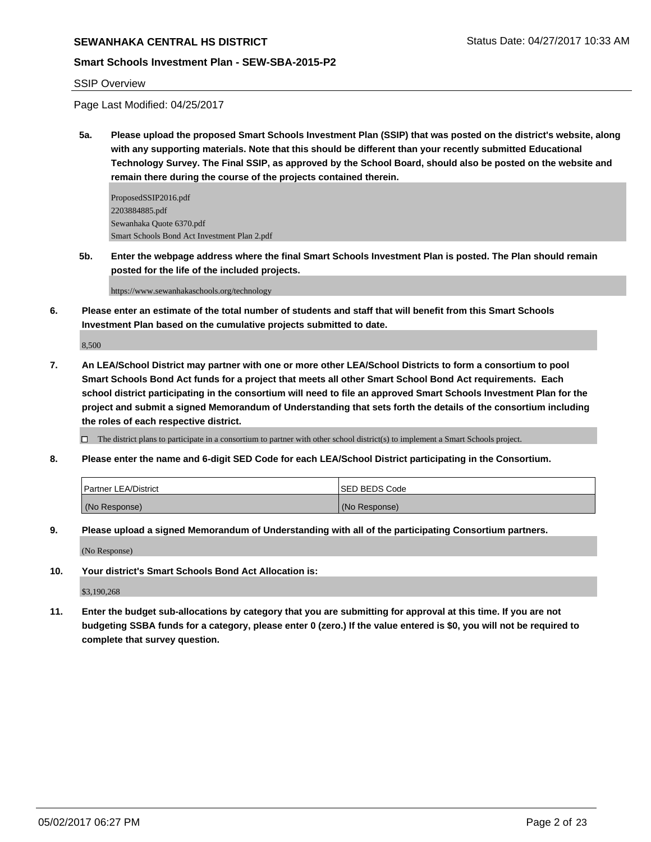# **SEWANHAKA CENTRAL HS DISTRICT STATUS AND REALLY STATUS DATE: 04/27/2017 10:33 AM**

#### **Smart Schools Investment Plan - SEW-SBA-2015-P2**

#### SSIP Overview

Page Last Modified: 04/25/2017

**5a. Please upload the proposed Smart Schools Investment Plan (SSIP) that was posted on the district's website, along with any supporting materials. Note that this should be different than your recently submitted Educational Technology Survey. The Final SSIP, as approved by the School Board, should also be posted on the website and remain there during the course of the projects contained therein.**

ProposedSSIP2016.pdf 2203884885.pdf Sewanhaka Quote 6370.pdf Smart Schools Bond Act Investment Plan 2.pdf

**5b. Enter the webpage address where the final Smart Schools Investment Plan is posted. The Plan should remain posted for the life of the included projects.**

https://www.sewanhakaschools.org/technology

**6. Please enter an estimate of the total number of students and staff that will benefit from this Smart Schools Investment Plan based on the cumulative projects submitted to date.**

8,500

**7. An LEA/School District may partner with one or more other LEA/School Districts to form a consortium to pool Smart Schools Bond Act funds for a project that meets all other Smart School Bond Act requirements. Each school district participating in the consortium will need to file an approved Smart Schools Investment Plan for the project and submit a signed Memorandum of Understanding that sets forth the details of the consortium including the roles of each respective district.**

 $\Box$  The district plans to participate in a consortium to partner with other school district(s) to implement a Smart Schools project.

**8. Please enter the name and 6-digit SED Code for each LEA/School District participating in the Consortium.**

| <b>Partner LEA/District</b> | <b>ISED BEDS Code</b> |
|-----------------------------|-----------------------|
| (No Response)               | (No Response)         |

**9. Please upload a signed Memorandum of Understanding with all of the participating Consortium partners.**

(No Response)

**10. Your district's Smart Schools Bond Act Allocation is:**

\$3,190,268

**11. Enter the budget sub-allocations by category that you are submitting for approval at this time. If you are not budgeting SSBA funds for a category, please enter 0 (zero.) If the value entered is \$0, you will not be required to complete that survey question.**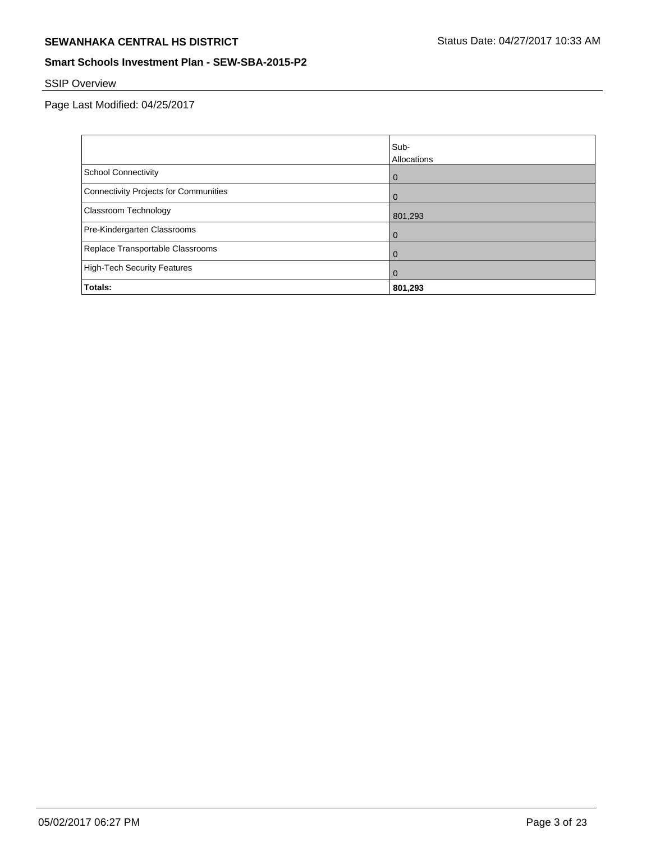# **SEWANHAKA CENTRAL HS DISTRICT** SEWANHAKA CENTRAL HS DISTRICT

## **Smart Schools Investment Plan - SEW-SBA-2015-P2**

# SSIP Overview

Page Last Modified: 04/25/2017

|                                       | Sub-<br>Allocations |
|---------------------------------------|---------------------|
| <b>School Connectivity</b>            | $\mathbf 0$         |
| Connectivity Projects for Communities | $\Omega$            |
| <b>Classroom Technology</b>           | 801,293             |
| Pre-Kindergarten Classrooms           | $\Omega$            |
| Replace Transportable Classrooms      | $\mathbf 0$         |
| High-Tech Security Features           | $\Omega$            |
| Totals:                               | 801,293             |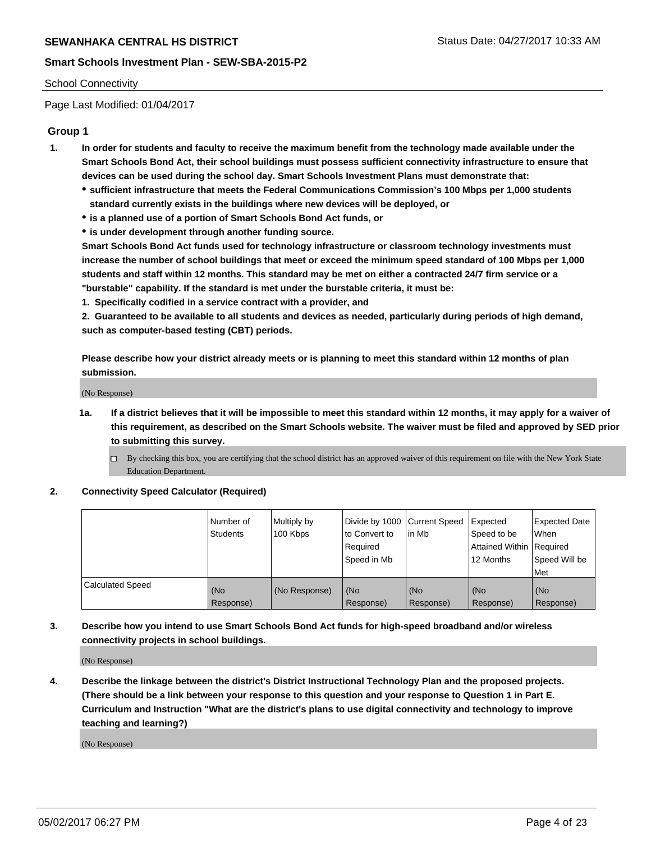#### School Connectivity

Page Last Modified: 01/04/2017

### **Group 1**

- **1. In order for students and faculty to receive the maximum benefit from the technology made available under the Smart Schools Bond Act, their school buildings must possess sufficient connectivity infrastructure to ensure that devices can be used during the school day. Smart Schools Investment Plans must demonstrate that:**
	- **sufficient infrastructure that meets the Federal Communications Commission's 100 Mbps per 1,000 students standard currently exists in the buildings where new devices will be deployed, or**
	- **is a planned use of a portion of Smart Schools Bond Act funds, or**
	- **is under development through another funding source.**

**Smart Schools Bond Act funds used for technology infrastructure or classroom technology investments must increase the number of school buildings that meet or exceed the minimum speed standard of 100 Mbps per 1,000 students and staff within 12 months. This standard may be met on either a contracted 24/7 firm service or a "burstable" capability. If the standard is met under the burstable criteria, it must be:**

**1. Specifically codified in a service contract with a provider, and**

**2. Guaranteed to be available to all students and devices as needed, particularly during periods of high demand, such as computer-based testing (CBT) periods.**

**Please describe how your district already meets or is planning to meet this standard within 12 months of plan submission.**

(No Response)

- **1a. If a district believes that it will be impossible to meet this standard within 12 months, it may apply for a waiver of this requirement, as described on the Smart Schools website. The waiver must be filed and approved by SED prior to submitting this survey.**
	- By checking this box, you are certifying that the school district has an approved waiver of this requirement on file with the New York State Education Department.

#### **2. Connectivity Speed Calculator (Required)**

|                         | l Number of<br><b>Students</b> | Multiply by<br>100 Kbps | Divide by 1000   Current Speed<br>to Convert to<br>Required<br>l Speed in Mb | in Mb            | Expected<br>Speed to be<br>Attained Within Required<br>12 Months | <b>Expected Date</b><br>When<br>Speed Will be<br><b>Met</b> |
|-------------------------|--------------------------------|-------------------------|------------------------------------------------------------------------------|------------------|------------------------------------------------------------------|-------------------------------------------------------------|
| <b>Calculated Speed</b> | (No<br>Response)               | (No Response)           | (No<br>Response)                                                             | (No<br>Response) | (No<br>Response)                                                 | l (No<br>Response)                                          |

## **3. Describe how you intend to use Smart Schools Bond Act funds for high-speed broadband and/or wireless connectivity projects in school buildings.**

(No Response)

**4. Describe the linkage between the district's District Instructional Technology Plan and the proposed projects. (There should be a link between your response to this question and your response to Question 1 in Part E. Curriculum and Instruction "What are the district's plans to use digital connectivity and technology to improve teaching and learning?)**

(No Response)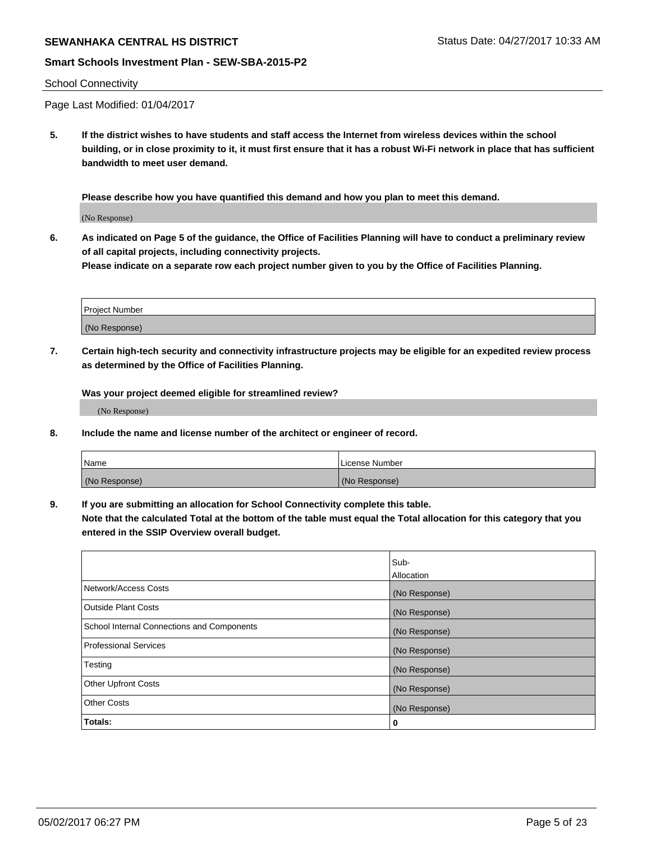# **SEWANHAKA CENTRAL HS DISTRICT** SERVICE STATUS Status Date: 04/27/2017 10:33 AM

### **Smart Schools Investment Plan - SEW-SBA-2015-P2**

#### School Connectivity

Page Last Modified: 01/04/2017

**5. If the district wishes to have students and staff access the Internet from wireless devices within the school building, or in close proximity to it, it must first ensure that it has a robust Wi-Fi network in place that has sufficient bandwidth to meet user demand.**

**Please describe how you have quantified this demand and how you plan to meet this demand.**

(No Response)

**6. As indicated on Page 5 of the guidance, the Office of Facilities Planning will have to conduct a preliminary review of all capital projects, including connectivity projects.**

**Please indicate on a separate row each project number given to you by the Office of Facilities Planning.**

| Project Number |  |
|----------------|--|
|                |  |
| (No Response)  |  |

**7. Certain high-tech security and connectivity infrastructure projects may be eligible for an expedited review process as determined by the Office of Facilities Planning.**

**Was your project deemed eligible for streamlined review?**

(No Response)

**8. Include the name and license number of the architect or engineer of record.**

| Name          | License Number |
|---------------|----------------|
| (No Response) | (No Response)  |

**9. If you are submitting an allocation for School Connectivity complete this table.**

**Note that the calculated Total at the bottom of the table must equal the Total allocation for this category that you entered in the SSIP Overview overall budget.** 

|                                            | Sub-              |
|--------------------------------------------|-------------------|
|                                            | <b>Allocation</b> |
| Network/Access Costs                       | (No Response)     |
| <b>Outside Plant Costs</b>                 | (No Response)     |
| School Internal Connections and Components | (No Response)     |
| <b>Professional Services</b>               | (No Response)     |
| Testing                                    | (No Response)     |
| <b>Other Upfront Costs</b>                 | (No Response)     |
| <b>Other Costs</b>                         | (No Response)     |
| Totals:                                    | 0                 |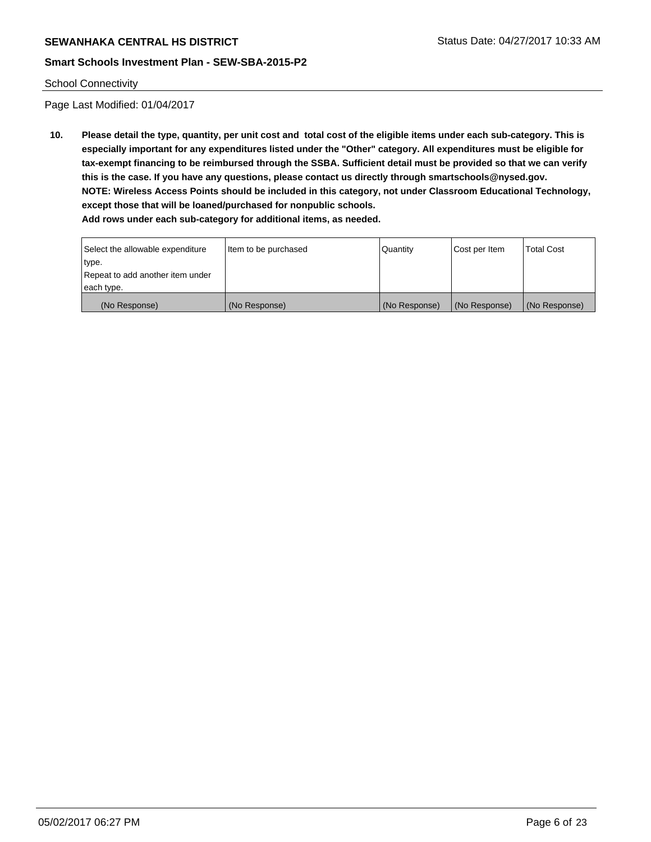#### School Connectivity

Page Last Modified: 01/04/2017

**10. Please detail the type, quantity, per unit cost and total cost of the eligible items under each sub-category. This is especially important for any expenditures listed under the "Other" category. All expenditures must be eligible for tax-exempt financing to be reimbursed through the SSBA. Sufficient detail must be provided so that we can verify this is the case. If you have any questions, please contact us directly through smartschools@nysed.gov. NOTE: Wireless Access Points should be included in this category, not under Classroom Educational Technology, except those that will be loaned/purchased for nonpublic schools.**

| Select the allowable expenditure | Item to be purchased | Quantity      | Cost per Item | <b>Total Cost</b> |
|----------------------------------|----------------------|---------------|---------------|-------------------|
| type.                            |                      |               |               |                   |
| Repeat to add another item under |                      |               |               |                   |
| each type.                       |                      |               |               |                   |
| (No Response)                    | (No Response)        | (No Response) | (No Response) | (No Response)     |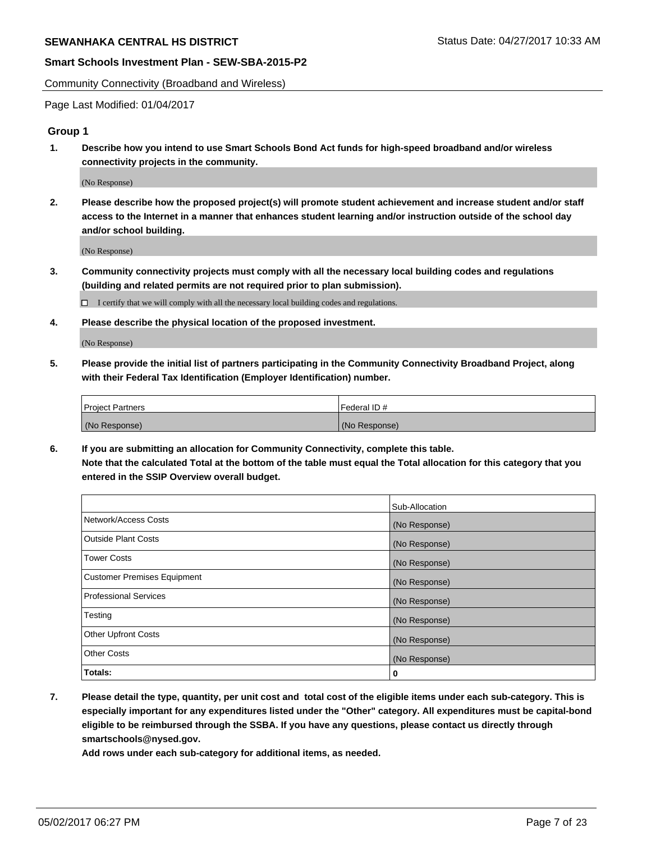Community Connectivity (Broadband and Wireless)

Page Last Modified: 01/04/2017

### **Group 1**

**1. Describe how you intend to use Smart Schools Bond Act funds for high-speed broadband and/or wireless connectivity projects in the community.**

(No Response)

**2. Please describe how the proposed project(s) will promote student achievement and increase student and/or staff access to the Internet in a manner that enhances student learning and/or instruction outside of the school day and/or school building.**

(No Response)

**3. Community connectivity projects must comply with all the necessary local building codes and regulations (building and related permits are not required prior to plan submission).**

 $\Box$  I certify that we will comply with all the necessary local building codes and regulations.

**4. Please describe the physical location of the proposed investment.**

(No Response)

**5. Please provide the initial list of partners participating in the Community Connectivity Broadband Project, along with their Federal Tax Identification (Employer Identification) number.**

| <b>Project Partners</b> | Federal ID#     |
|-------------------------|-----------------|
| (No Response)           | l (No Response) |

**6. If you are submitting an allocation for Community Connectivity, complete this table. Note that the calculated Total at the bottom of the table must equal the Total allocation for this category that you entered in the SSIP Overview overall budget.**

|                                    | Sub-Allocation |
|------------------------------------|----------------|
| Network/Access Costs               | (No Response)  |
| Outside Plant Costs                | (No Response)  |
| <b>Tower Costs</b>                 | (No Response)  |
| <b>Customer Premises Equipment</b> | (No Response)  |
| <b>Professional Services</b>       | (No Response)  |
| Testing                            | (No Response)  |
| <b>Other Upfront Costs</b>         | (No Response)  |
| <b>Other Costs</b>                 | (No Response)  |
| Totals:                            | 0              |

**7. Please detail the type, quantity, per unit cost and total cost of the eligible items under each sub-category. This is especially important for any expenditures listed under the "Other" category. All expenditures must be capital-bond eligible to be reimbursed through the SSBA. If you have any questions, please contact us directly through smartschools@nysed.gov.**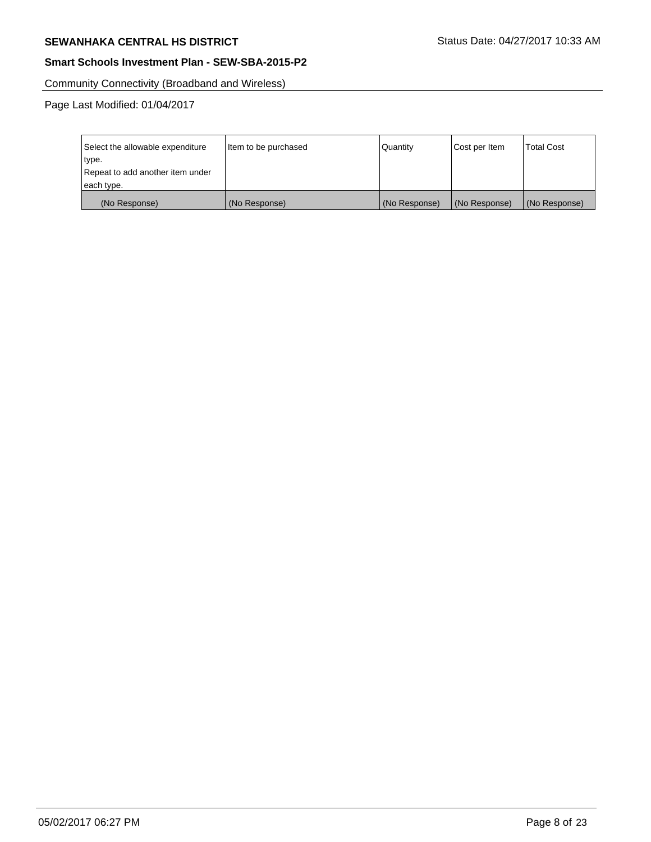# **SEWANHAKA CENTRAL HS DISTRICT** SEWANHAKA CENTRAL HS DISTRICT

## **Smart Schools Investment Plan - SEW-SBA-2015-P2**

Community Connectivity (Broadband and Wireless)

Page Last Modified: 01/04/2017

| Select the allowable expenditure | Item to be purchased | Quantity      | Cost per Item | <b>Total Cost</b> |
|----------------------------------|----------------------|---------------|---------------|-------------------|
| type.                            |                      |               |               |                   |
| Repeat to add another item under |                      |               |               |                   |
| each type.                       |                      |               |               |                   |
| (No Response)                    | (No Response)        | (No Response) | (No Response) | (No Response)     |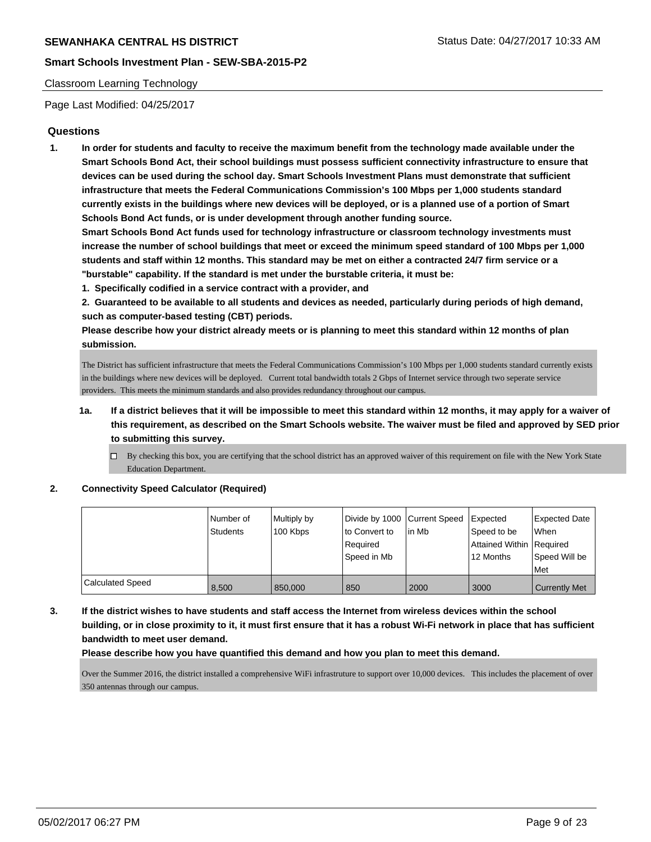#### Classroom Learning Technology

Page Last Modified: 04/25/2017

### **Questions**

**1. In order for students and faculty to receive the maximum benefit from the technology made available under the Smart Schools Bond Act, their school buildings must possess sufficient connectivity infrastructure to ensure that devices can be used during the school day. Smart Schools Investment Plans must demonstrate that sufficient infrastructure that meets the Federal Communications Commission's 100 Mbps per 1,000 students standard currently exists in the buildings where new devices will be deployed, or is a planned use of a portion of Smart Schools Bond Act funds, or is under development through another funding source.**

**Smart Schools Bond Act funds used for technology infrastructure or classroom technology investments must increase the number of school buildings that meet or exceed the minimum speed standard of 100 Mbps per 1,000 students and staff within 12 months. This standard may be met on either a contracted 24/7 firm service or a "burstable" capability. If the standard is met under the burstable criteria, it must be:**

- **1. Specifically codified in a service contract with a provider, and**
- **2. Guaranteed to be available to all students and devices as needed, particularly during periods of high demand, such as computer-based testing (CBT) periods.**

**Please describe how your district already meets or is planning to meet this standard within 12 months of plan submission.**

The District has sufficient infrastructure that meets the Federal Communications Commission's 100 Mbps per 1,000 students standard currently exists in the buildings where new devices will be deployed. Current total bandwidth totals 2 Gbps of Internet service through two seperate service providers. This meets the minimum standards and also provides redundancy throughout our campus.

- **1a. If a district believes that it will be impossible to meet this standard within 12 months, it may apply for a waiver of this requirement, as described on the Smart Schools website. The waiver must be filed and approved by SED prior to submitting this survey.**
	- $\Box$  By checking this box, you are certifying that the school district has an approved waiver of this requirement on file with the New York State Education Department.

**2. Connectivity Speed Calculator (Required)**

|                         | l Number of<br><b>Students</b> | Multiply by<br>100 Kbps | Divide by 1000 Current Speed<br>to Convert to<br>Required<br>Speed in Mb | in Mb | Expected<br>Speed to be<br>Attained Within Required<br>12 Months | <b>Expected Date</b><br><b>When</b><br>Speed Will be<br>Met |
|-------------------------|--------------------------------|-------------------------|--------------------------------------------------------------------------|-------|------------------------------------------------------------------|-------------------------------------------------------------|
| <b>Calculated Speed</b> | 8.500                          | 850,000                 | 850                                                                      | 2000  | 3000                                                             | <b>Currently Met</b>                                        |

**3. If the district wishes to have students and staff access the Internet from wireless devices within the school building, or in close proximity to it, it must first ensure that it has a robust Wi-Fi network in place that has sufficient bandwidth to meet user demand.**

**Please describe how you have quantified this demand and how you plan to meet this demand.**

Over the Summer 2016, the district installed a comprehensive WiFi infrastruture to support over 10,000 devices. This includes the placement of over 350 antennas through our campus.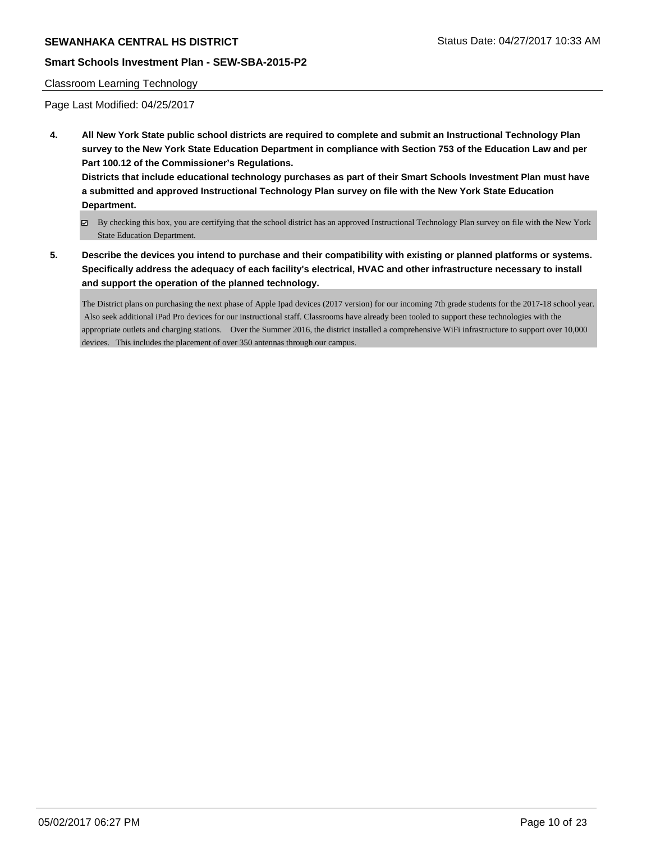# **SEWANHAKA CENTRAL HS DISTRICT** STATUS AND STATUS STATUS DATE: 04/27/2017 10:33 AM

### **Smart Schools Investment Plan - SEW-SBA-2015-P2**

#### Classroom Learning Technology

Page Last Modified: 04/25/2017

**4. All New York State public school districts are required to complete and submit an Instructional Technology Plan survey to the New York State Education Department in compliance with Section 753 of the Education Law and per Part 100.12 of the Commissioner's Regulations.**

**Districts that include educational technology purchases as part of their Smart Schools Investment Plan must have a submitted and approved Instructional Technology Plan survey on file with the New York State Education Department.**

- By checking this box, you are certifying that the school district has an approved Instructional Technology Plan survey on file with the New York State Education Department.
- **5. Describe the devices you intend to purchase and their compatibility with existing or planned platforms or systems. Specifically address the adequacy of each facility's electrical, HVAC and other infrastructure necessary to install and support the operation of the planned technology.**

The District plans on purchasing the next phase of Apple Ipad devices (2017 version) for our incoming 7th grade students for the 2017-18 school year. Also seek additional iPad Pro devices for our instructional staff. Classrooms have already been tooled to support these technologies with the appropriate outlets and charging stations. Over the Summer 2016, the district installed a comprehensive WiFi infrastructure to support over 10,000 devices. This includes the placement of over 350 antennas through our campus.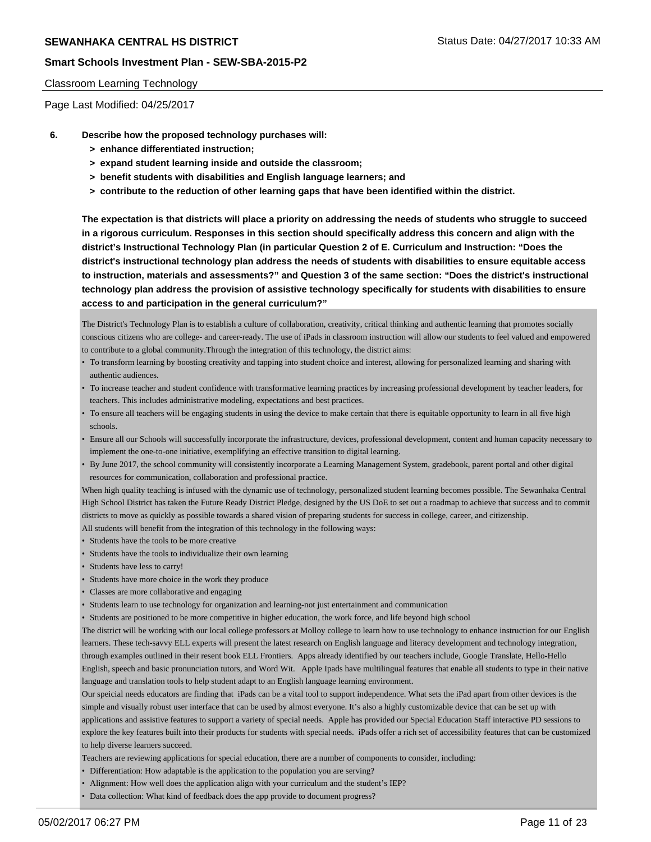#### Classroom Learning Technology

Page Last Modified: 04/25/2017

- **6. Describe how the proposed technology purchases will:**
	- **> enhance differentiated instruction;**
	- **> expand student learning inside and outside the classroom;**
	- **> benefit students with disabilities and English language learners; and**
	- **> contribute to the reduction of other learning gaps that have been identified within the district.**

**The expectation is that districts will place a priority on addressing the needs of students who struggle to succeed in a rigorous curriculum. Responses in this section should specifically address this concern and align with the district's Instructional Technology Plan (in particular Question 2 of E. Curriculum and Instruction: "Does the district's instructional technology plan address the needs of students with disabilities to ensure equitable access to instruction, materials and assessments?" and Question 3 of the same section: "Does the district's instructional technology plan address the provision of assistive technology specifically for students with disabilities to ensure access to and participation in the general curriculum?"**

The District's Technology Plan is to establish a culture of collaboration, creativity, critical thinking and authentic learning that promotes socially conscious citizens who are college- and career-ready. The use of iPads in classroom instruction will allow our students to feel valued and empowered to contribute to a global community.Through the integration of this technology, the district aims:

- To transform learning by boosting creativity and tapping into student choice and interest, allowing for personalized learning and sharing with authentic audiences.
- To increase teacher and student confidence with transformative learning practices by increasing professional development by teacher leaders, for teachers. This includes administrative modeling, expectations and best practices.
- To ensure all teachers will be engaging students in using the device to make certain that there is equitable opportunity to learn in all five high schools.
- Ensure all our Schools will successfully incorporate the infrastructure, devices, professional development, content and human capacity necessary to implement the one-to-one initiative, exemplifying an effective transition to digital learning.
- By June 2017, the school community will consistently incorporate a Learning Management System, gradebook, parent portal and other digital resources for communication, collaboration and professional practice.

When high quality teaching is infused with the dynamic use of technology, personalized student learning becomes possible. The Sewanhaka Central High School District has taken the Future Ready District Pledge, designed by the US DoE to set out a roadmap to achieve that success and to commit districts to move as quickly as possible towards a shared vision of preparing students for success in college, career, and citizenship.

All students will benefit from the integration of this technology in the following ways:

- Students have the tools to be more creative
- Students have the tools to individualize their own learning
- Students have less to carry!
- Students have more choice in the work they produce
- Classes are more collaborative and engaging
- Students learn to use technology for organization and learning-not just entertainment and communication
- Students are positioned to be more competitive in higher education, the work force, and life beyond high school

The district will be working with our local college professors at Molloy college to learn how to use technology to enhance instruction for our English learners. These tech-savvy ELL experts will present the latest research on English language and literacy development and technology integration, through examples outlined in their resent book ELL Frontiers. Apps already identified by our teachers include, Google Translate, Hello-Hello English, speech and basic pronunciation tutors, and Word Wit. Apple Ipads have multilingual features that enable all students to type in their native language and translation tools to help student adapt to an English language learning environment.

Our speicial needs educators are finding that iPads can be a vital tool to support independence. What sets the iPad apart from other devices is the simple and visually robust user interface that can be used by almost everyone. It's also a highly customizable device that can be set up with applications and assistive features to support a variety of special needs. Apple has provided our Special Education Staff interactive PD sessions to explore the key features built into their products for students with special needs. iPads offer a rich set of accessibility features that can be customized to help diverse learners succeed.

Teachers are reviewing applications for special education, there are a number of components to consider, including:

- Differentiation: How adaptable is the application to the population you are serving?
- Alignment: How well does the application align with your curriculum and the student's IEP?
- Data collection: What kind of feedback does the app provide to document progress?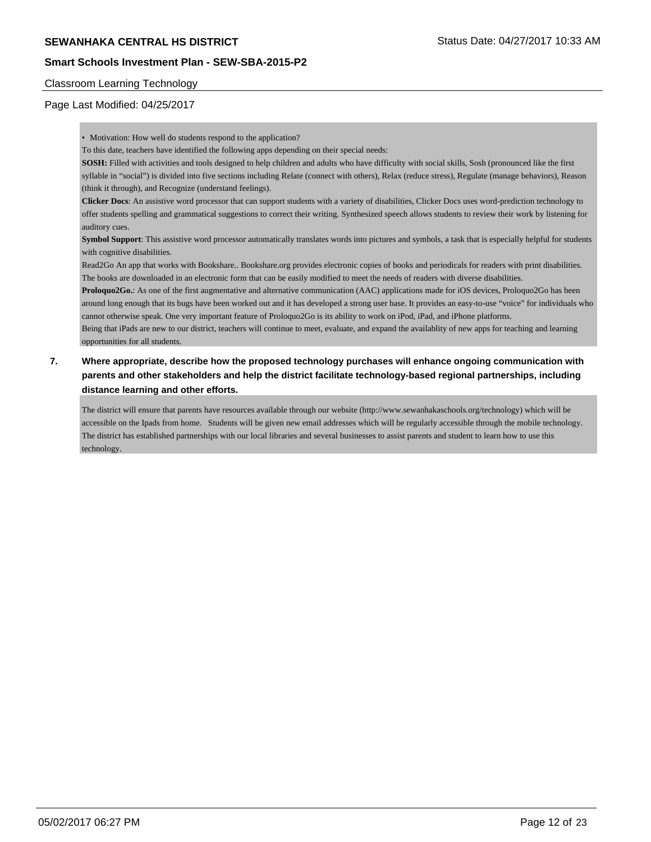#### Classroom Learning Technology

#### Page Last Modified: 04/25/2017

• Motivation: How well do students respond to the application?

To this date, teachers have identified the following apps depending on their special needs:

**SOSH:** Filled with activities and tools designed to help children and adults who have difficulty with social skills, Sosh (pronounced like the first syllable in "social") is divided into five sections including Relate (connect with others), Relax (reduce stress), Regulate (manage behaviors), Reason (think it through), and Recognize (understand feelings).

**Clicker Docs**: An assistive word processor that can support students with a variety of disabilities, Clicker Docs uses word-prediction technology to offer students spelling and grammatical suggestions to correct their writing. Synthesized speech allows students to review their work by listening for auditory cues.

**Symbol Support**: This assistive word processor automatically translates words into pictures and symbols, a task that is especially helpful for students with cognitive disabilities.

Read2Go An app that works with Bookshare.. Bookshare.org provides electronic copies of books and periodicals for readers with print disabilities. The books are downloaded in an electronic form that can be easily modified to meet the needs of readers with diverse disabilities.

**Proloquo2Go.**: As one of the first augmentative and alternative communication (AAC) applications made for iOS devices, Proloquo2Go has been around long enough that its bugs have been worked out and it has developed a strong user base. It provides an easy-to-use "voice" for individuals who cannot otherwise speak. One very important feature of Proloquo2Go is its ability to work on iPod, iPad, and iPhone platforms.

Being that iPads are new to our district, teachers will continue to meet, evaluate, and expand the availablity of new apps for teaching and learning opportunities for all students.

## **7. Where appropriate, describe how the proposed technology purchases will enhance ongoing communication with parents and other stakeholders and help the district facilitate technology-based regional partnerships, including distance learning and other efforts.**

The district will ensure that parents have resources available through our website (http://www.sewanhakaschools.org/technology) which will be accessible on the Ipads from home. Students will be given new email addresses which will be regularly accessible through the mobile technology. The district has established partnerships with our local libraries and several businesses to assist parents and student to learn how to use this technology.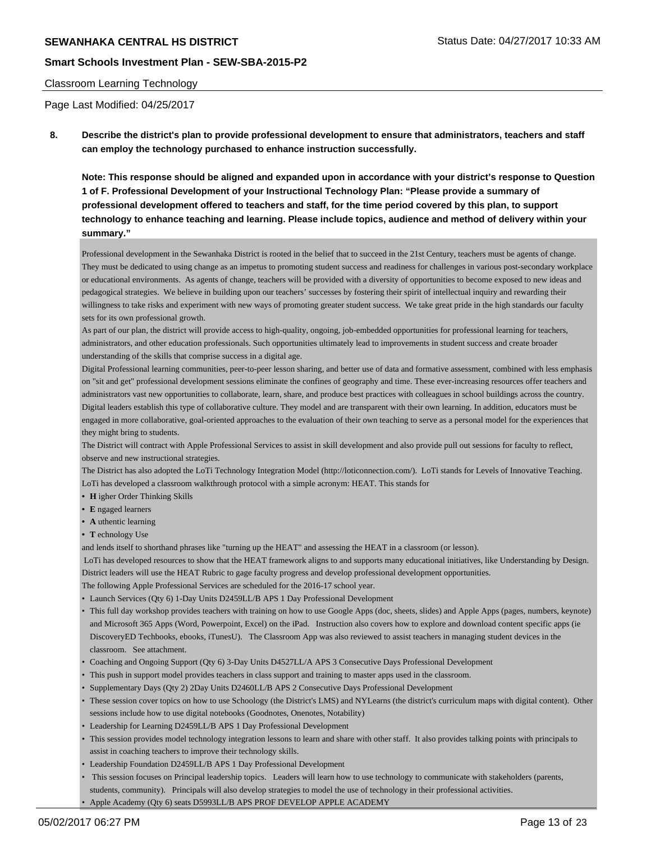#### Classroom Learning Technology

Page Last Modified: 04/25/2017

**8. Describe the district's plan to provide professional development to ensure that administrators, teachers and staff can employ the technology purchased to enhance instruction successfully.**

**Note: This response should be aligned and expanded upon in accordance with your district's response to Question 1 of F. Professional Development of your Instructional Technology Plan: "Please provide a summary of professional development offered to teachers and staff, for the time period covered by this plan, to support technology to enhance teaching and learning. Please include topics, audience and method of delivery within your summary."**

Professional development in the Sewanhaka District is rooted in the belief that to succeed in the 21st Century, teachers must be agents of change. They must be dedicated to using change as an impetus to promoting student success and readiness for challenges in various post-secondary workplace or educational environments. As agents of change, teachers will be provided with a diversity of opportunities to become exposed to new ideas and pedagogical strategies. We believe in building upon our teachers' successes by fostering their spirit of intellectual inquiry and rewarding their willingness to take risks and experiment with new ways of promoting greater student success. We take great pride in the high standards our faculty sets for its own professional growth.

As part of our plan, the district will provide access to high-quality, ongoing, job-embedded opportunities for professional learning for teachers, administrators, and other education professionals. Such opportunities ultimately lead to improvements in student success and create broader understanding of the skills that comprise success in a digital age.

Digital Professional learning communities, peer-to-peer lesson sharing, and better use of data and formative assessment, combined with less emphasis on "sit and get" professional development sessions eliminate the confines of geography and time. These ever-increasing resources offer teachers and administrators vast new opportunities to collaborate, learn, share, and produce best practices with colleagues in school buildings across the country. Digital leaders establish this type of collaborative culture. They model and are transparent with their own learning. In addition, educators must be engaged in more collaborative, goal-oriented approaches to the evaluation of their own teaching to serve as a personal model for the experiences that they might bring to students.

The District will contract with Apple Professional Services to assist in skill development and also provide pull out sessions for faculty to reflect, observe and new instructional strategies.

The District has also adopted the LoTi Technology Integration Model (http://loticonnection.com/). LoTi stands for Levels of Innovative Teaching. LoTi has developed a classroom walkthrough protocol with a simple acronym: HEAT. This stands for

- **• H** igher Order Thinking Skills
- **• E** ngaged learners
- **• A** uthentic learning
- **• T** echnology Use

and lends itself to shorthand phrases like "turning up the HEAT" and assessing the HEAT in a classroom (or lesson).

 LoTi has developed resources to show that the HEAT framework aligns to and supports many educational initiatives, like Understanding by Design. District leaders will use the HEAT Rubric to gage faculty progress and develop professional development opportunities.

The following Apple Professional Services are scheduled for the 2016-17 school year.

- Launch Services (Qty 6) 1-Day Units D2459LL/B APS 1 Day Professional Development
- This full day workshop provides teachers with training on how to use Google Apps (doc, sheets, slides) and Apple Apps (pages, numbers, keynote) and Microsoft 365 Apps (Word, Powerpoint, Excel) on the iPad. Instruction also covers how to explore and download content specific apps (ie DiscoveryED Techbooks, ebooks, iTunesU). The Classroom App was also reviewed to assist teachers in managing student devices in the classroom. See attachment.
- Coaching and Ongoing Support (Qty 6) 3-Day Units D4527LL/A APS 3 Consecutive Days Professional Development
- This push in support model provides teachers in class support and training to master apps used in the classroom.
- Supplementary Days (Qty 2) 2Day Units D2460LL/B APS 2 Consecutive Days Professional Development
- These session cover topics on how to use Schoology (the District's LMS) and NYLearns (the district's curriculum maps with digital content). Other sessions include how to use digital notebooks (Goodnotes, Onenotes, Notability)
- Leadership for Learning D2459LL/B APS 1 Day Professional Development
- This session provides model technology integration lessons to learn and share with other staff. It also provides talking points with principals to assist in coaching teachers to improve their technology skills.
- Leadership Foundation D2459LL/B APS 1 Day Professional Development
- This session focuses on Principal leadership topics. Leaders will learn how to use technology to communicate with stakeholders (parents, students, community). Principals will also develop strategies to model the use of technology in their professional activities.
- Apple Academy (Qty 6) seats D5993LL/B APS PROF DEVELOP APPLE ACADEMY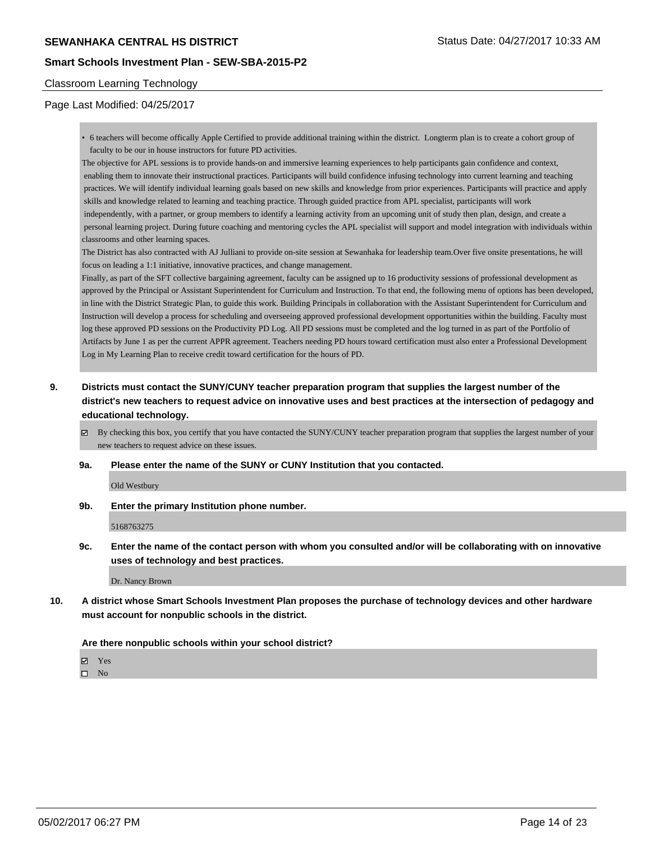# **SEWANHAKA CENTRAL HS DISTRICT** STATUS AND STATUS STATUS DATE: 04/27/2017 10:33 AM

### **Smart Schools Investment Plan - SEW-SBA-2015-P2**

#### Classroom Learning Technology

### Page Last Modified: 04/25/2017

• 6 teachers will become offically Apple Certified to provide additional training within the district. Longterm plan is to create a cohort group of faculty to be our in house instructors for future PD activities.

The objective for APL sessions is to provide hands-on and immersive learning experiences to help participants gain confidence and context, enabling them to innovate their instructional practices. Participants will build confidence infusing technology into current learning and teaching practices. We will identify individual learning goals based on new skills and knowledge from prior experiences. Participants will practice and apply skills and knowledge related to learning and teaching practice. Through guided practice from APL specialist, participants will work independently, with a partner, or group members to identify a learning activity from an upcoming unit of study then plan, design, and create a personal learning project. During future coaching and mentoring cycles the APL specialist will support and model integration with individuals within classrooms and other learning spaces.

The District has also contracted with AJ Julliani to provide on-site session at Sewanhaka for leadership team.Over five onsite presentations, he will focus on leading a 1:1 initiative, innovative practices, and change management.

Finally, as part of the SFT collective bargaining agreement, faculty can be assigned up to 16 productivity sessions of professional development as approved by the Principal or Assistant Superintendent for Curriculum and Instruction. To that end, the following menu of options has been developed, in line with the District Strategic Plan, to guide this work. Building Principals in collaboration with the Assistant Superintendent for Curriculum and Instruction will develop a process for scheduling and overseeing approved professional development opportunities within the building. Faculty must log these approved PD sessions on the Productivity PD Log. All PD sessions must be completed and the log turned in as part of the Portfolio of Artifacts by June 1 as per the current APPR agreement. Teachers needing PD hours toward certification must also enter a Professional Development Log in My Learning Plan to receive credit toward certification for the hours of PD.

**9. Districts must contact the SUNY/CUNY teacher preparation program that supplies the largest number of the district's new teachers to request advice on innovative uses and best practices at the intersection of pedagogy and educational technology.**

By checking this box, you certify that you have contacted the SUNY/CUNY teacher preparation program that supplies the largest number of your new teachers to request advice on these issues.

#### **9a. Please enter the name of the SUNY or CUNY Institution that you contacted.**

Old Westbury

**9b. Enter the primary Institution phone number.**

5168763275

**9c. Enter the name of the contact person with whom you consulted and/or will be collaborating with on innovative uses of technology and best practices.**

Dr. Nancy Brown

**10. A district whose Smart Schools Investment Plan proposes the purchase of technology devices and other hardware must account for nonpublic schools in the district.**

**Are there nonpublic schools within your school district?**

Yes

 $\square$  No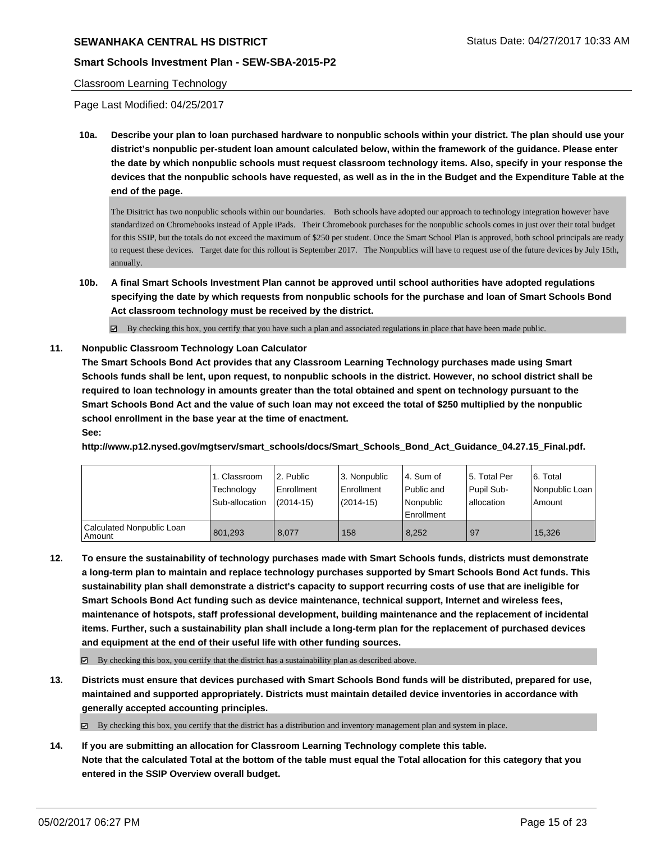## **SEWANHAKA CENTRAL HS DISTRICT STATUS AND REALLY ASSESSED AT A STATUS DATE: 04/27/2017 10:33 AM**

### **Smart Schools Investment Plan - SEW-SBA-2015-P2**

#### Classroom Learning Technology

Page Last Modified: 04/25/2017

**10a. Describe your plan to loan purchased hardware to nonpublic schools within your district. The plan should use your district's nonpublic per-student loan amount calculated below, within the framework of the guidance. Please enter the date by which nonpublic schools must request classroom technology items. Also, specify in your response the devices that the nonpublic schools have requested, as well as in the in the Budget and the Expenditure Table at the end of the page.**

The Disitrict has two nonpublic schools within our boundaries. Both schools have adopted our approach to technology integration however have standardized on Chromebooks instead of Apple iPads. Their Chromebook purchases for the nonpublic schools comes in just over their total budget for this SSIP, but the totals do not exceed the maximum of \$250 per student. Once the Smart School Plan is approved, both school principals are ready to request these devices. Target date for this rollout is September 2017. The Nonpublics will have to request use of the future devices by July 15th, annually.

- **10b. A final Smart Schools Investment Plan cannot be approved until school authorities have adopted regulations specifying the date by which requests from nonpublic schools for the purchase and loan of Smart Schools Bond Act classroom technology must be received by the district.**
	- $\boxtimes$  By checking this box, you certify that you have such a plan and associated regulations in place that have been made public.

### **11. Nonpublic Classroom Technology Loan Calculator**

**The Smart Schools Bond Act provides that any Classroom Learning Technology purchases made using Smart Schools funds shall be lent, upon request, to nonpublic schools in the district. However, no school district shall be required to loan technology in amounts greater than the total obtained and spent on technology pursuant to the Smart Schools Bond Act and the value of such loan may not exceed the total of \$250 multiplied by the nonpublic school enrollment in the base year at the time of enactment. See:**

**http://www.p12.nysed.gov/mgtserv/smart\_schools/docs/Smart\_Schools\_Bond\_Act\_Guidance\_04.27.15\_Final.pdf.**

|                                       | 1. Classroom<br>Technology<br>Sub-allocation | 2. Public<br>Enrollment<br>$(2014-15)$ | 3. Nonpublic<br>Enrollment<br>(2014-15) | l 4. Sum of<br>Public and<br>Nonpublic<br>Enrollment | 15. Total Per<br>Pupil Sub-<br>l allocation | 6. Total<br>Nonpublic Loan  <br>Amount |
|---------------------------------------|----------------------------------------------|----------------------------------------|-----------------------------------------|------------------------------------------------------|---------------------------------------------|----------------------------------------|
| Calculated Nonpublic Loan<br>  Amount | 801,293                                      | 8.077                                  | 158                                     | 8.252                                                | 97                                          | 15.326                                 |

**12. To ensure the sustainability of technology purchases made with Smart Schools funds, districts must demonstrate a long-term plan to maintain and replace technology purchases supported by Smart Schools Bond Act funds. This sustainability plan shall demonstrate a district's capacity to support recurring costs of use that are ineligible for Smart Schools Bond Act funding such as device maintenance, technical support, Internet and wireless fees, maintenance of hotspots, staff professional development, building maintenance and the replacement of incidental items. Further, such a sustainability plan shall include a long-term plan for the replacement of purchased devices and equipment at the end of their useful life with other funding sources.**

 $\boxtimes$  By checking this box, you certify that the district has a sustainability plan as described above.

**13. Districts must ensure that devices purchased with Smart Schools Bond funds will be distributed, prepared for use, maintained and supported appropriately. Districts must maintain detailed device inventories in accordance with generally accepted accounting principles.**

By checking this box, you certify that the district has a distribution and inventory management plan and system in place.

**14. If you are submitting an allocation for Classroom Learning Technology complete this table. Note that the calculated Total at the bottom of the table must equal the Total allocation for this category that you entered in the SSIP Overview overall budget.**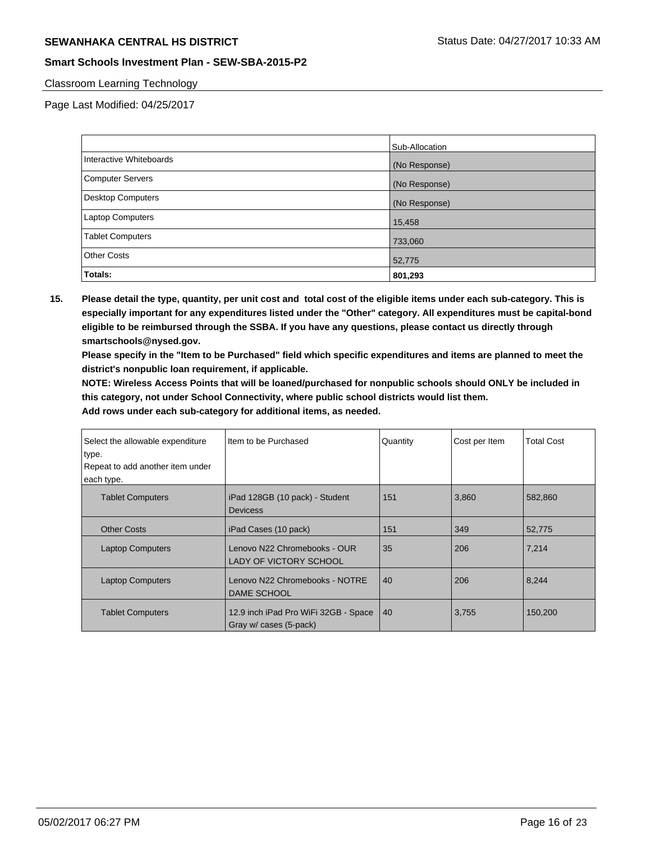# **SEWANHAKA CENTRAL HS DISTRICT** SERVICE STATUS Status Date: 04/27/2017 10:33 AM

## **Smart Schools Investment Plan - SEW-SBA-2015-P2**

### Classroom Learning Technology

Page Last Modified: 04/25/2017

|                          | Sub-Allocation |
|--------------------------|----------------|
| Interactive Whiteboards  | (No Response)  |
| Computer Servers         | (No Response)  |
| <b>Desktop Computers</b> | (No Response)  |
| <b>Laptop Computers</b>  | 15,458         |
| <b>Tablet Computers</b>  | 733,060        |
| <b>Other Costs</b>       | 52,775         |
| Totals:                  | 801,293        |

**15. Please detail the type, quantity, per unit cost and total cost of the eligible items under each sub-category. This is especially important for any expenditures listed under the "Other" category. All expenditures must be capital-bond eligible to be reimbursed through the SSBA. If you have any questions, please contact us directly through smartschools@nysed.gov.**

**Please specify in the "Item to be Purchased" field which specific expenditures and items are planned to meet the district's nonpublic loan requirement, if applicable.**

**NOTE: Wireless Access Points that will be loaned/purchased for nonpublic schools should ONLY be included in this category, not under School Connectivity, where public school districts would list them.**

| Select the allowable expenditure<br>type.<br>Repeat to add another item under<br>each type. | Item to be Purchased                                           | Quantity | Cost per Item | <b>Total Cost</b> |
|---------------------------------------------------------------------------------------------|----------------------------------------------------------------|----------|---------------|-------------------|
| <b>Tablet Computers</b>                                                                     | iPad 128GB (10 pack) - Student<br><b>Devicess</b>              | 151      | 3,860         | 582.860           |
| <b>Other Costs</b>                                                                          | iPad Cases (10 pack)                                           | 151      | 349           | 52,775            |
| <b>Laptop Computers</b>                                                                     | Lenovo N22 Chromebooks - OUR<br><b>LADY OF VICTORY SCHOOL</b>  | 35       | 206           | 7,214             |
| <b>Laptop Computers</b>                                                                     | Lenovo N22 Chromebooks - NOTRE<br><b>DAME SCHOOL</b>           | 40       | 206           | 8,244             |
| <b>Tablet Computers</b>                                                                     | 12.9 inch iPad Pro WiFi 32GB - Space<br>Gray w/ cases (5-pack) | 40       | 3,755         | 150,200           |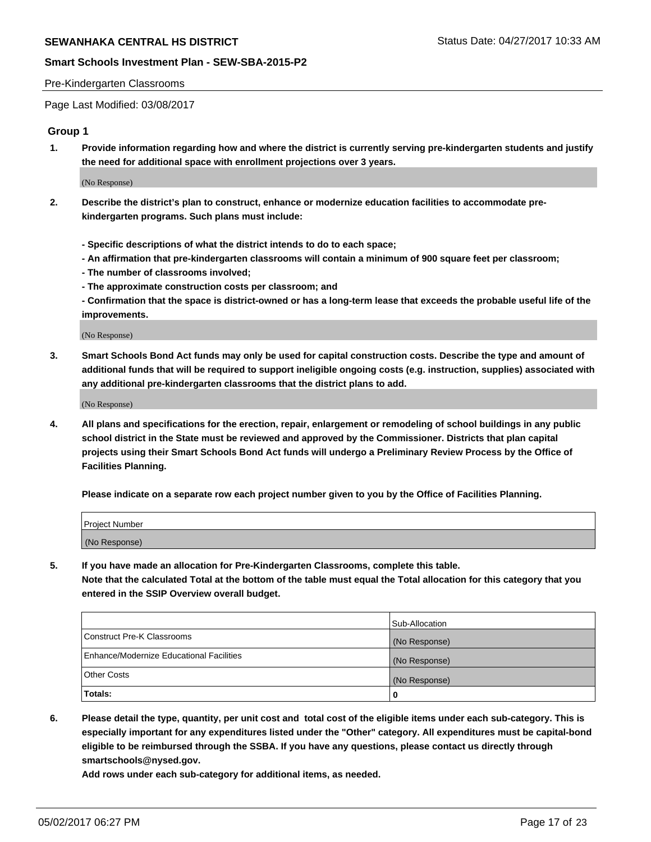#### Pre-Kindergarten Classrooms

Page Last Modified: 03/08/2017

### **Group 1**

**1. Provide information regarding how and where the district is currently serving pre-kindergarten students and justify the need for additional space with enrollment projections over 3 years.**

(No Response)

- **2. Describe the district's plan to construct, enhance or modernize education facilities to accommodate prekindergarten programs. Such plans must include:**
	- **Specific descriptions of what the district intends to do to each space;**
	- **An affirmation that pre-kindergarten classrooms will contain a minimum of 900 square feet per classroom;**
	- **The number of classrooms involved;**
	- **The approximate construction costs per classroom; and**
	- **Confirmation that the space is district-owned or has a long-term lease that exceeds the probable useful life of the improvements.**

(No Response)

**3. Smart Schools Bond Act funds may only be used for capital construction costs. Describe the type and amount of additional funds that will be required to support ineligible ongoing costs (e.g. instruction, supplies) associated with any additional pre-kindergarten classrooms that the district plans to add.**

(No Response)

**4. All plans and specifications for the erection, repair, enlargement or remodeling of school buildings in any public school district in the State must be reviewed and approved by the Commissioner. Districts that plan capital projects using their Smart Schools Bond Act funds will undergo a Preliminary Review Process by the Office of Facilities Planning.**

**Please indicate on a separate row each project number given to you by the Office of Facilities Planning.**

| Project Number |  |
|----------------|--|
| (No Response)  |  |

**5. If you have made an allocation for Pre-Kindergarten Classrooms, complete this table. Note that the calculated Total at the bottom of the table must equal the Total allocation for this category that you entered in the SSIP Overview overall budget.**

| Totals:                                  | 0              |
|------------------------------------------|----------------|
| Other Costs                              | (No Response)  |
| Enhance/Modernize Educational Facilities | (No Response)  |
| Construct Pre-K Classrooms               | (No Response)  |
|                                          | Sub-Allocation |

**6. Please detail the type, quantity, per unit cost and total cost of the eligible items under each sub-category. This is especially important for any expenditures listed under the "Other" category. All expenditures must be capital-bond eligible to be reimbursed through the SSBA. If you have any questions, please contact us directly through smartschools@nysed.gov.**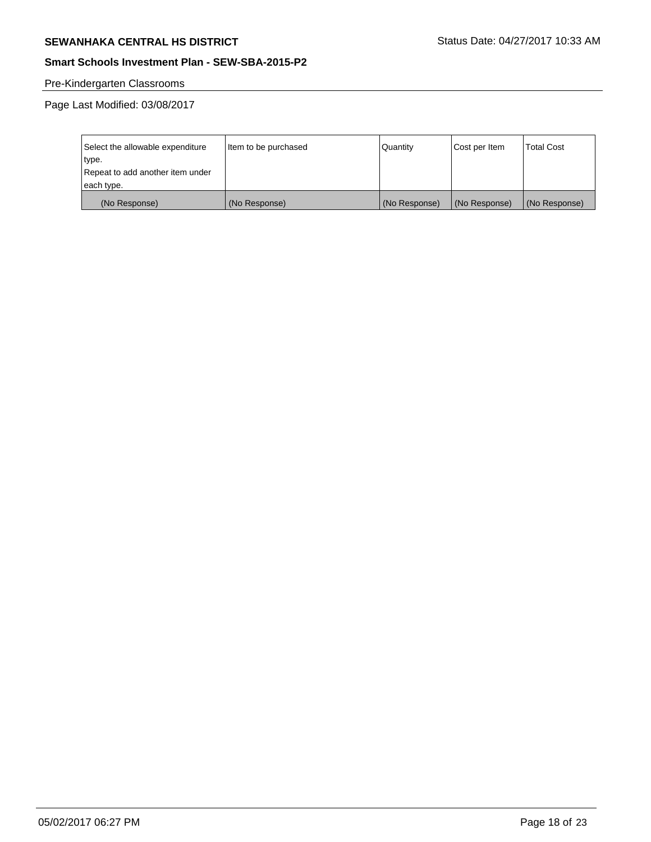# **SEWANHAKA CENTRAL HS DISTRICT** SEWANHAKA CENTRAL HS DISTRICT

## **Smart Schools Investment Plan - SEW-SBA-2015-P2**

# Pre-Kindergarten Classrooms

Page Last Modified: 03/08/2017

| Select the allowable expenditure | Item to be purchased | <b>Quantity</b> | Cost per Item | <b>Total Cost</b> |
|----------------------------------|----------------------|-----------------|---------------|-------------------|
| type.                            |                      |                 |               |                   |
| Repeat to add another item under |                      |                 |               |                   |
| each type.                       |                      |                 |               |                   |
| (No Response)                    | (No Response)        | (No Response)   | (No Response) | (No Response)     |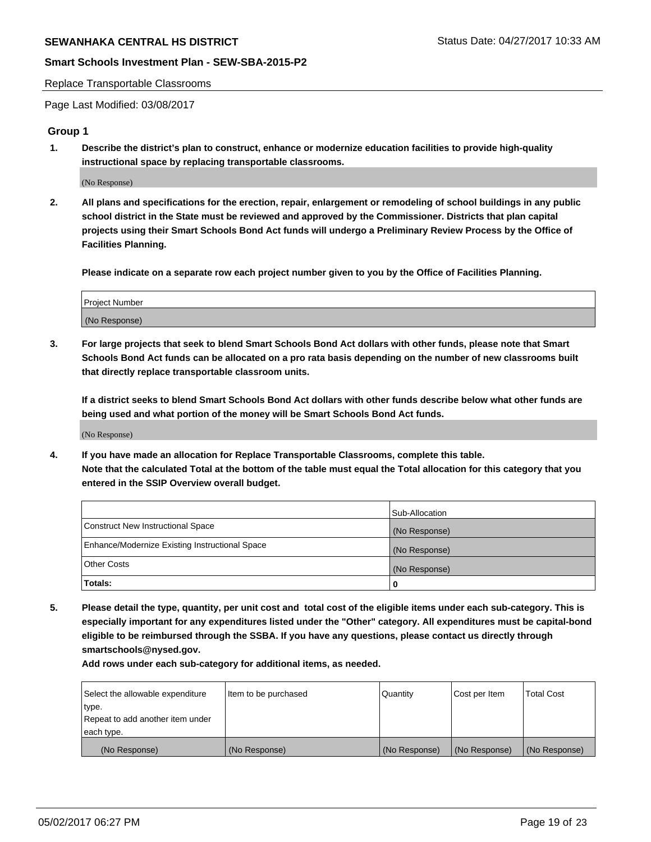#### Replace Transportable Classrooms

Page Last Modified: 03/08/2017

### **Group 1**

**1. Describe the district's plan to construct, enhance or modernize education facilities to provide high-quality instructional space by replacing transportable classrooms.**

(No Response)

**2. All plans and specifications for the erection, repair, enlargement or remodeling of school buildings in any public school district in the State must be reviewed and approved by the Commissioner. Districts that plan capital projects using their Smart Schools Bond Act funds will undergo a Preliminary Review Process by the Office of Facilities Planning.**

**Please indicate on a separate row each project number given to you by the Office of Facilities Planning.**

| Project Number |  |
|----------------|--|
| (No Response)  |  |

**3. For large projects that seek to blend Smart Schools Bond Act dollars with other funds, please note that Smart Schools Bond Act funds can be allocated on a pro rata basis depending on the number of new classrooms built that directly replace transportable classroom units.**

**If a district seeks to blend Smart Schools Bond Act dollars with other funds describe below what other funds are being used and what portion of the money will be Smart Schools Bond Act funds.**

(No Response)

**4. If you have made an allocation for Replace Transportable Classrooms, complete this table. Note that the calculated Total at the bottom of the table must equal the Total allocation for this category that you entered in the SSIP Overview overall budget.**

|                                                | Sub-Allocation |
|------------------------------------------------|----------------|
| Construct New Instructional Space              | (No Response)  |
| Enhance/Modernize Existing Instructional Space | (No Response)  |
| Other Costs                                    | (No Response)  |
| Totals:                                        | $\Omega$       |

**5. Please detail the type, quantity, per unit cost and total cost of the eligible items under each sub-category. This is especially important for any expenditures listed under the "Other" category. All expenditures must be capital-bond eligible to be reimbursed through the SSBA. If you have any questions, please contact us directly through smartschools@nysed.gov.**

| Select the allowable expenditure | Item to be purchased | Quantity      | Cost per Item | <b>Total Cost</b> |
|----------------------------------|----------------------|---------------|---------------|-------------------|
| type.                            |                      |               |               |                   |
| Repeat to add another item under |                      |               |               |                   |
| each type.                       |                      |               |               |                   |
| (No Response)                    | (No Response)        | (No Response) | (No Response) | (No Response)     |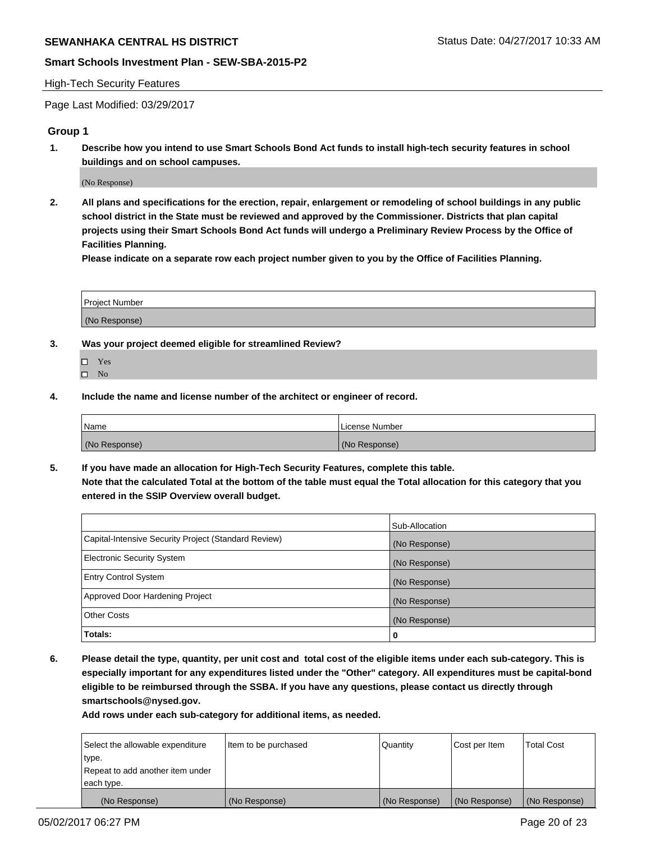#### High-Tech Security Features

Page Last Modified: 03/29/2017

### **Group 1**

**1. Describe how you intend to use Smart Schools Bond Act funds to install high-tech security features in school buildings and on school campuses.**

(No Response)

**2. All plans and specifications for the erection, repair, enlargement or remodeling of school buildings in any public school district in the State must be reviewed and approved by the Commissioner. Districts that plan capital projects using their Smart Schools Bond Act funds will undergo a Preliminary Review Process by the Office of Facilities Planning.** 

**Please indicate on a separate row each project number given to you by the Office of Facilities Planning.**

| Project Number |  |
|----------------|--|
|                |  |
| (No Response)  |  |

- **3. Was your project deemed eligible for streamlined Review?**
	- Yes  $\square$  No
- **4. Include the name and license number of the architect or engineer of record.**

| Name          | l License Number |
|---------------|------------------|
| (No Response) | (No Response)    |

**5. If you have made an allocation for High-Tech Security Features, complete this table. Note that the calculated Total at the bottom of the table must equal the Total allocation for this category that you entered in the SSIP Overview overall budget.**

|                                                      | Sub-Allocation |
|------------------------------------------------------|----------------|
| Capital-Intensive Security Project (Standard Review) | (No Response)  |
| <b>Electronic Security System</b>                    | (No Response)  |
| <b>Entry Control System</b>                          | (No Response)  |
| Approved Door Hardening Project                      | (No Response)  |
| <b>Other Costs</b>                                   | (No Response)  |
| Totals:                                              | 0              |

**6. Please detail the type, quantity, per unit cost and total cost of the eligible items under each sub-category. This is especially important for any expenditures listed under the "Other" category. All expenditures must be capital-bond eligible to be reimbursed through the SSBA. If you have any questions, please contact us directly through smartschools@nysed.gov.**

| (No Response)                    | (No Response)        | (No Response) | (No Response) | (No Response)     |
|----------------------------------|----------------------|---------------|---------------|-------------------|
| each type.                       |                      |               |               |                   |
| Repeat to add another item under |                      |               |               |                   |
| type.                            |                      |               |               |                   |
| Select the allowable expenditure | Item to be purchased | Quantity      | Cost per Item | <b>Total Cost</b> |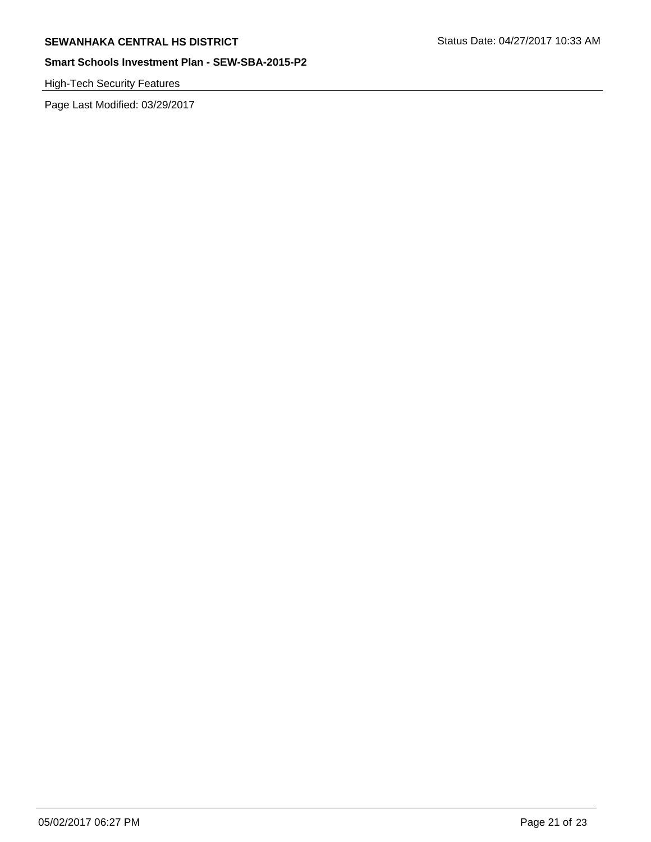High-Tech Security Features

Page Last Modified: 03/29/2017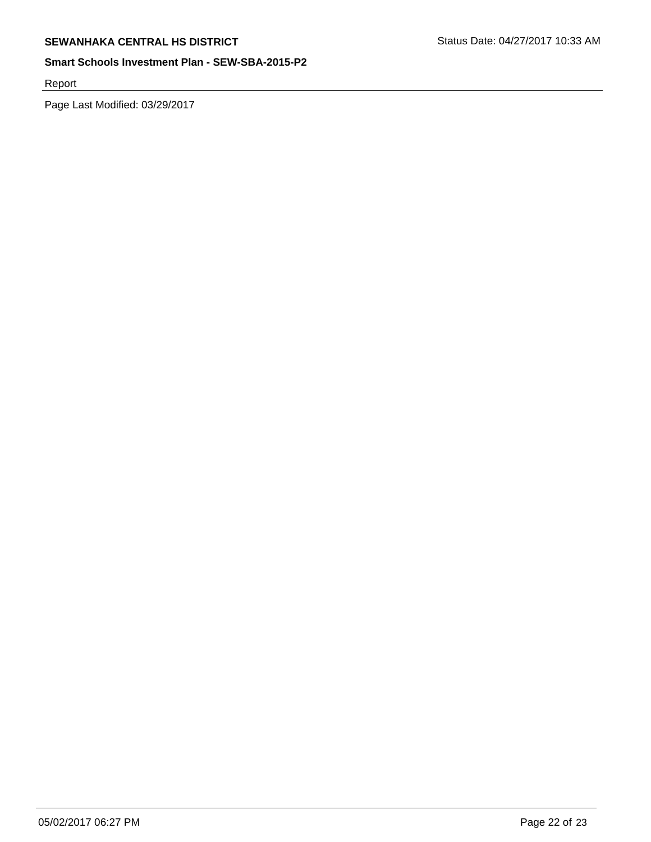Report

Page Last Modified: 03/29/2017